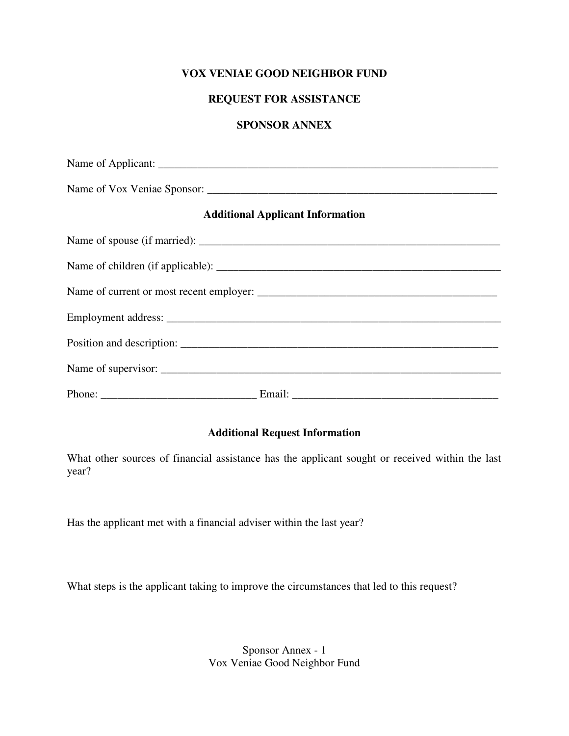# **VOX VENIAE GOOD NEIGHBOR FUND**

# **REQUEST FOR ASSISTANCE**

#### **SPONSOR ANNEX**

| <b>Additional Applicant Information</b> |
|-----------------------------------------|
|                                         |
|                                         |
|                                         |
|                                         |
|                                         |
|                                         |
|                                         |

# **Additional Request Information**

What other sources of financial assistance has the applicant sought or received within the last year?

Has the applicant met with a financial adviser within the last year?

What steps is the applicant taking to improve the circumstances that led to this request?

Sponsor Annex - 1 Vox Veniae Good Neighbor Fund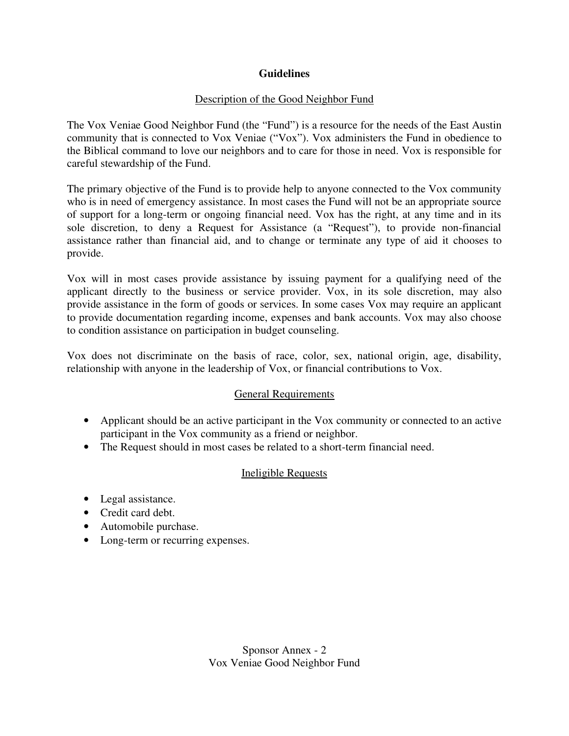# **Guidelines**

# Description of the Good Neighbor Fund

The Vox Veniae Good Neighbor Fund (the "Fund") is a resource for the needs of the East Austin community that is connected to Vox Veniae ("Vox"). Vox administers the Fund in obedience to the Biblical command to love our neighbors and to care for those in need. Vox is responsible for careful stewardship of the Fund.

The primary objective of the Fund is to provide help to anyone connected to the Vox community who is in need of emergency assistance. In most cases the Fund will not be an appropriate source of support for a long-term or ongoing financial need. Vox has the right, at any time and in its sole discretion, to deny a Request for Assistance (a "Request"), to provide non-financial assistance rather than financial aid, and to change or terminate any type of aid it chooses to provide.

Vox will in most cases provide assistance by issuing payment for a qualifying need of the applicant directly to the business or service provider. Vox, in its sole discretion, may also provide assistance in the form of goods or services. In some cases Vox may require an applicant to provide documentation regarding income, expenses and bank accounts. Vox may also choose to condition assistance on participation in budget counseling.

Vox does not discriminate on the basis of race, color, sex, national origin, age, disability, relationship with anyone in the leadership of Vox, or financial contributions to Vox.

# General Requirements

- Applicant should be an active participant in the Vox community or connected to an active participant in the Vox community as a friend or neighbor.
- The Request should in most cases be related to a short-term financial need.

# Ineligible Requests

- Legal assistance.
- Credit card debt.
- Automobile purchase.
- Long-term or recurring expenses.

Sponsor Annex - 2 Vox Veniae Good Neighbor Fund